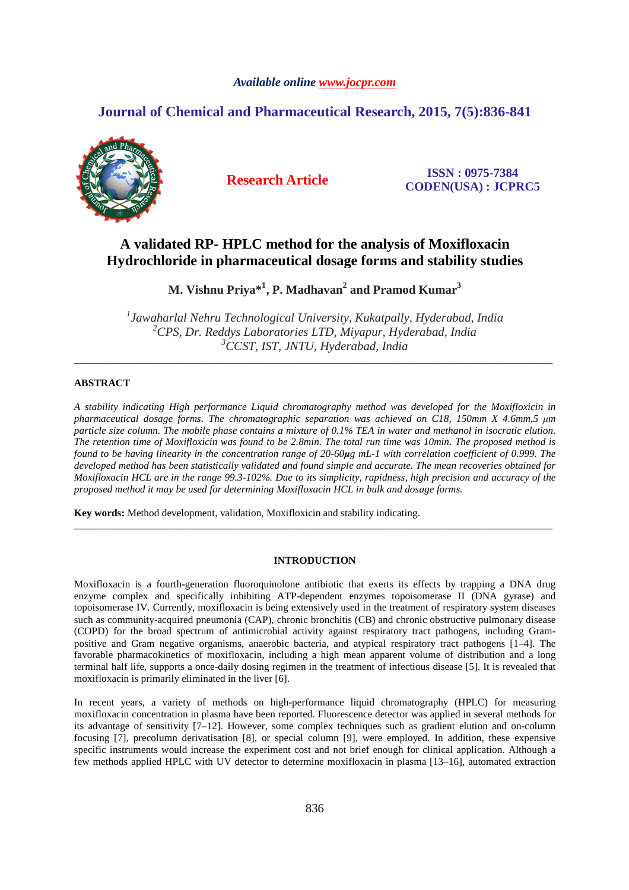# *Available online www.jocpr.com*

# **Journal of Chemical and Pharmaceutical Research, 2015, 7(5):836-841**



**Research Article ISSN : 0975-7384 CODEN(USA) : JCPRC5**

# **A validated RP- HPLC method for the analysis of Moxifloxacin Hydrochloride in pharmaceutical dosage forms and stability studies**

**M. Vishnu Priya\*<sup>1</sup> , P. Madhavan<sup>2</sup> and Pramod Kumar<sup>3</sup>**

*1 Jawaharlal Nehru Technological University, Kukatpally, Hyderabad, India <sup>2</sup>CPS, Dr. Reddys Laboratories LTD, Miyapur, Hyderabad, India <sup>3</sup>CCST, IST, JNTU, Hyderabad, India* 

\_\_\_\_\_\_\_\_\_\_\_\_\_\_\_\_\_\_\_\_\_\_\_\_\_\_\_\_\_\_\_\_\_\_\_\_\_\_\_\_\_\_\_\_\_\_\_\_\_\_\_\_\_\_\_\_\_\_\_\_\_\_\_\_\_\_\_\_\_\_\_\_\_\_\_\_\_\_\_\_\_\_\_\_\_\_\_\_\_\_\_\_\_

# **ABSTRACT**

*A stability indicating High performance Liquid chromatography method was developed for the Moxifloxicin in pharmaceutical dosage forms. The chromatographic separation was achieved on C18, 150mm X 4.6mm,5 µm particle size column. The mobile phase contains a mixture of 0.1% TEA in water and methanol in isocratic elution. The retention time of Moxifloxicin was found to be 2.8min. The total run time was 10min. The proposed method is found to be having linearity in the concentration range of 20-60µg mL-1 with correlation coefficient of 0.999. The developed method has been statistically validated and found simple and accurate. The mean recoveries obtained for Moxifloxacin HCL are in the range 99.3-102%. Due to its simplicity, rapidness, high precision and accuracy of the proposed method it may be used for determining Moxifloxacin HCL in bulk and dosage forms.* 

**Key words:** Method development, validation, Moxifloxicin and stability indicating.

# **INTRODUCTION**

\_\_\_\_\_\_\_\_\_\_\_\_\_\_\_\_\_\_\_\_\_\_\_\_\_\_\_\_\_\_\_\_\_\_\_\_\_\_\_\_\_\_\_\_\_\_\_\_\_\_\_\_\_\_\_\_\_\_\_\_\_\_\_\_\_\_\_\_\_\_\_\_\_\_\_\_\_\_\_\_\_\_\_\_\_\_\_\_\_\_\_\_\_

Moxifloxacin is a fourth-generation fluoroquinolone antibiotic that exerts its effects by trapping a DNA drug enzyme complex and specifically inhibiting ATP-dependent enzymes topoisomerase II (DNA gyrase) and topoisomerase IV. Currently, moxifloxacin is being extensively used in the treatment of respiratory system diseases such as community-acquired pneumonia (CAP), chronic bronchitis (CB) and chronic obstructive pulmonary disease (COPD) for the broad spectrum of antimicrobial activity against respiratory tract pathogens, including Grampositive and Gram negative organisms, anaerobic bacteria, and atypical respiratory tract pathogens [1–4]. The favorable pharmacokinetics of moxifloxacin, including a high mean apparent volume of distribution and a long terminal half life, supports a once-daily dosing regimen in the treatment of infectious disease [5]. It is revealed that moxifloxacin is primarily eliminated in the liver [6].

In recent years, a variety of methods on high-performance liquid chromatography (HPLC) for measuring moxifloxacin concentration in plasma have been reported. Fluorescence detector was applied in several methods for its advantage of sensitivity [7–12]. However, some complex techniques such as gradient elution and on-column focusing [7], precolumn derivatisation [8], or special column [9], were employed. In addition, these expensive specific instruments would increase the experiment cost and not brief enough for clinical application. Although a few methods applied HPLC with UV detector to determine moxifloxacin in plasma [13–16], automated extraction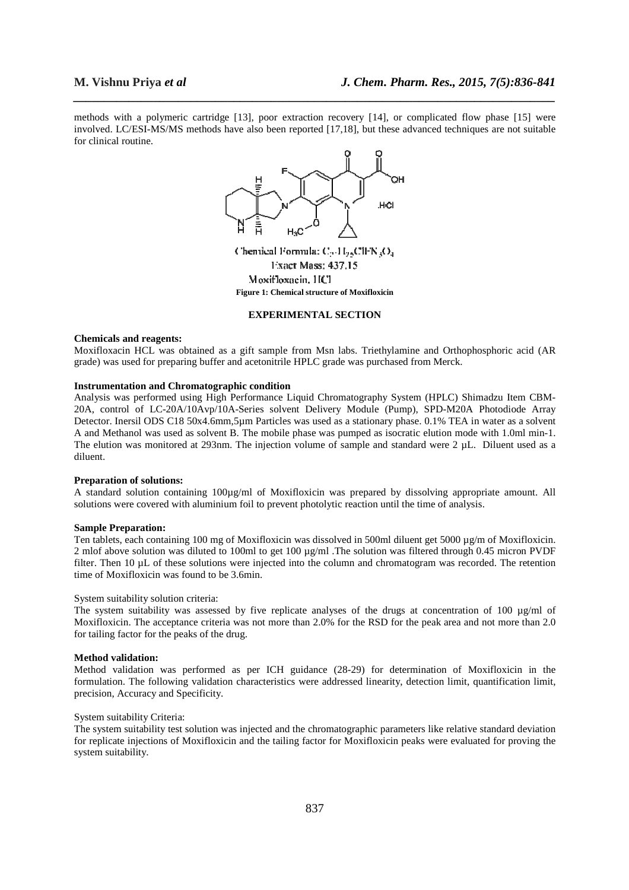methods with a polymeric cartridge [13], poor extraction recovery [14], or complicated flow phase [15] were involved. LC/ESI-MS/MS methods have also been reported [17,18], but these advanced techniques are not suitable for clinical routine.

*\_\_\_\_\_\_\_\_\_\_\_\_\_\_\_\_\_\_\_\_\_\_\_\_\_\_\_\_\_\_\_\_\_\_\_\_\_\_\_\_\_\_\_\_\_\_\_\_\_\_\_\_\_\_\_\_\_\_\_\_\_\_\_\_\_\_\_\_\_\_\_\_\_\_\_\_\_\_*



Moxifloxacin, HCl **Figure 1: Chemical structure of Moxifloxicin** 

# **EXPERIMENTAL SECTION**

# **Chemicals and reagents:**

Moxifloxacin HCL was obtained as a gift sample from Msn labs. Triethylamine and Orthophosphoric acid (AR grade) was used for preparing buffer and acetonitrile HPLC grade was purchased from Merck.

# **Instrumentation and Chromatographic condition**

Analysis was performed using High Performance Liquid Chromatography System (HPLC) Shimadzu Item CBM-20A, control of LC-20A/10Avp/10A-Series solvent Delivery Module (Pump), SPD-M20A Photodiode Array Detector. Inersil ODS C18 50x4.6mm,5µm Particles was used as a stationary phase. 0.1% TEA in water as a solvent A and Methanol was used as solvent B. The mobile phase was pumped as isocratic elution mode with 1.0ml min-1. The elution was monitored at 293nm. The injection volume of sample and standard were  $2 \mu L$ . Diluent used as a diluent.

# **Preparation of solutions:**

A standard solution containing  $100\mu\text{g/ml}$  of Moxifloxicin was prepared by dissolving appropriate amount. All solutions were covered with aluminium foil to prevent photolytic reaction until the time of analysis.

# **Sample Preparation:**

Ten tablets, each containing 100 mg of Moxifloxicin was dissolved in 500ml diluent get 5000 µg/m of Moxifloxicin. 2 mlof above solution was diluted to 100ml to get 100  $\mu$ g/ml. The solution was filtered through 0.45 micron PVDF filter. Then 10 µL of these solutions were injected into the column and chromatogram was recorded. The retention time of Moxifloxicin was found to be 3.6min.

#### System suitability solution criteria:

The system suitability was assessed by five replicate analyses of the drugs at concentration of 100  $\mu$ g/ml of Moxifloxicin. The acceptance criteria was not more than 2.0% for the RSD for the peak area and not more than 2.0 for tailing factor for the peaks of the drug.

# **Method validation:**

Method validation was performed as per ICH guidance (28-29) for determination of Moxifloxicin in the formulation. The following validation characteristics were addressed linearity, detection limit, quantification limit, precision, Accuracy and Specificity.

#### System suitability Criteria:

The system suitability test solution was injected and the chromatographic parameters like relative standard deviation for replicate injections of Moxifloxicin and the tailing factor for Moxifloxicin peaks were evaluated for proving the system suitability.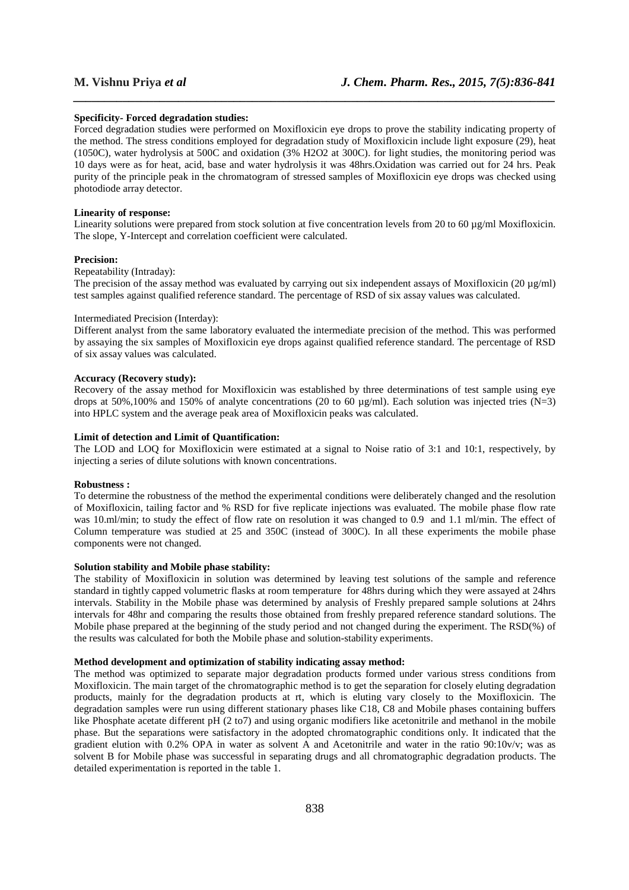# **Specificity- Forced degradation studies:**

Forced degradation studies were performed on Moxifloxicin eye drops to prove the stability indicating property of the method. The stress conditions employed for degradation study of Moxifloxicin include light exposure (29), heat (1050C), water hydrolysis at 500C and oxidation (3% H2O2 at 300C). for light studies, the monitoring period was 10 days were as for heat, acid, base and water hydrolysis it was 48hrs.Oxidation was carried out for 24 hrs. Peak purity of the principle peak in the chromatogram of stressed samples of Moxifloxicin eye drops was checked using photodiode array detector.

*\_\_\_\_\_\_\_\_\_\_\_\_\_\_\_\_\_\_\_\_\_\_\_\_\_\_\_\_\_\_\_\_\_\_\_\_\_\_\_\_\_\_\_\_\_\_\_\_\_\_\_\_\_\_\_\_\_\_\_\_\_\_\_\_\_\_\_\_\_\_\_\_\_\_\_\_\_\_*

# **Linearity of response:**

Linearity solutions were prepared from stock solution at five concentration levels from 20 to 60 µg/ml Moxifloxicin. The slope, Y-Intercept and correlation coefficient were calculated.

#### **Precision:**

# Repeatability (Intraday):

The precision of the assay method was evaluated by carrying out six independent assays of Moxifloxicin (20  $\mu$ g/ml) test samples against qualified reference standard. The percentage of RSD of six assay values was calculated.

# Intermediated Precision (Interday):

Different analyst from the same laboratory evaluated the intermediate precision of the method. This was performed by assaying the six samples of Moxifloxicin eye drops against qualified reference standard. The percentage of RSD of six assay values was calculated.

## **Accuracy (Recovery study):**

Recovery of the assay method for Moxifloxicin was established by three determinations of test sample using eye drops at 50%,100% and 150% of analyte concentrations (20 to 60  $\mu$ g/ml). Each solution was injected tries (N=3) into HPLC system and the average peak area of Moxifloxicin peaks was calculated.

# **Limit of detection and Limit of Quantification:**

The LOD and LOQ for Moxifloxicin were estimated at a signal to Noise ratio of 3:1 and 10:1, respectively, by injecting a series of dilute solutions with known concentrations.

#### **Robustness :**

To determine the robustness of the method the experimental conditions were deliberately changed and the resolution of Moxifloxicin, tailing factor and % RSD for five replicate injections was evaluated. The mobile phase flow rate was 10.ml/min; to study the effect of flow rate on resolution it was changed to 0.9 and 1.1 ml/min. The effect of Column temperature was studied at 25 and 350C (instead of 300C). In all these experiments the mobile phase components were not changed.

#### **Solution stability and Mobile phase stability:**

The stability of Moxifloxicin in solution was determined by leaving test solutions of the sample and reference standard in tightly capped volumetric flasks at room temperature for 48hrs during which they were assayed at 24hrs intervals. Stability in the Mobile phase was determined by analysis of Freshly prepared sample solutions at 24hrs intervals for 48hr and comparing the results those obtained from freshly prepared reference standard solutions. The Mobile phase prepared at the beginning of the study period and not changed during the experiment. The RSD(%) of the results was calculated for both the Mobile phase and solution-stability experiments.

#### **Method development and optimization of stability indicating assay method:**

The method was optimized to separate major degradation products formed under various stress conditions from Moxifloxicin. The main target of the chromatographic method is to get the separation for closely eluting degradation products, mainly for the degradation products at rt, which is eluting vary closely to the Moxifloxicin. The degradation samples were run using different stationary phases like C18, C8 and Mobile phases containing buffers like Phosphate acetate different pH (2 to7) and using organic modifiers like acetonitrile and methanol in the mobile phase. But the separations were satisfactory in the adopted chromatographic conditions only. It indicated that the gradient elution with 0.2% OPA in water as solvent A and Acetonitrile and water in the ratio 90:10v/v; was as solvent B for Mobile phase was successful in separating drugs and all chromatographic degradation products. The detailed experimentation is reported in the table 1.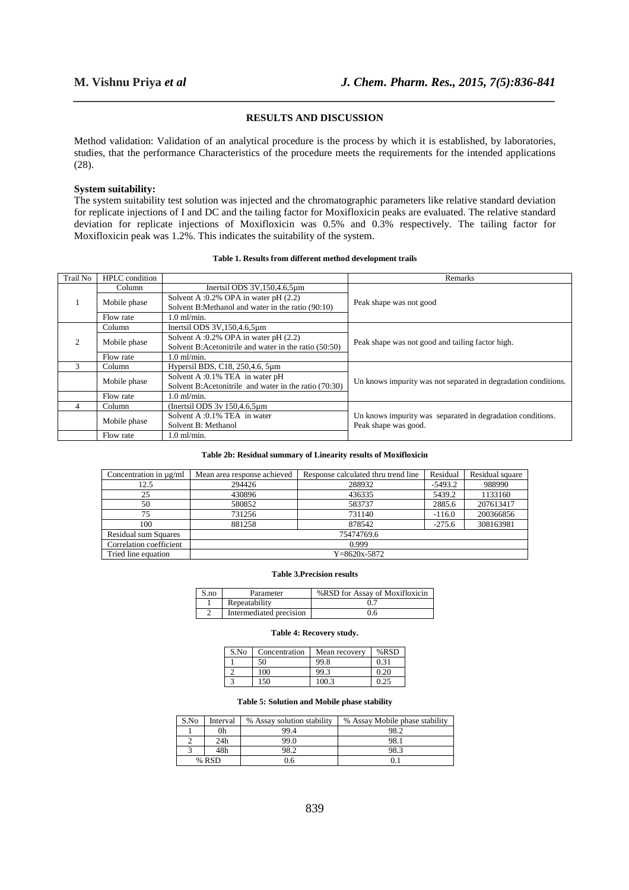# **RESULTS AND DISCUSSION**

*\_\_\_\_\_\_\_\_\_\_\_\_\_\_\_\_\_\_\_\_\_\_\_\_\_\_\_\_\_\_\_\_\_\_\_\_\_\_\_\_\_\_\_\_\_\_\_\_\_\_\_\_\_\_\_\_\_\_\_\_\_\_\_\_\_\_\_\_\_\_\_\_\_\_\_\_\_\_*

Method validation: Validation of an analytical procedure is the process by which it is established, by laboratories, studies, that the performance Characteristics of the procedure meets the requirements for the intended applications (28).

#### **System suitability:**

The system suitability test solution was injected and the chromatographic parameters like relative standard deviation for replicate injections of I and DC and the tailing factor for Moxifloxicin peaks are evaluated. The relative standard deviation for replicate injections of Moxifloxicin was 0.5% and 0.3% respectively. The tailing factor for Moxifloxicin peak was 1.2%. This indicates the suitability of the system.

| <b>Trail No</b> | <b>HPLC</b> condition |                                                        | Remarks                                                        |  |
|-----------------|-----------------------|--------------------------------------------------------|----------------------------------------------------------------|--|
|                 | Column                | Inertsil ODS $3V$ , $150$ , $4.6$ , $5\mu$ m           |                                                                |  |
|                 | Mobile phase          | Solvent A :0.2% OPA in water pH (2.2)                  | Peak shape was not good                                        |  |
|                 |                       | Solvent B:Methanol and water in the ratio (90:10)      |                                                                |  |
|                 | Flow rate             | $1.0$ ml/min.                                          |                                                                |  |
| 2               | Column                | Inertsil ODS $3V$ , $150$ , $4.6$ , $5\mu$ m           |                                                                |  |
|                 | Mobile phase          | Solvent A :0.2% OPA in water pH (2.2)                  |                                                                |  |
|                 |                       | Solvent B:Acetonitrile and water in the ratio (50:50)  | Peak shape was not good and tailing factor high.               |  |
|                 | Flow rate             | $1.0$ ml/min.                                          |                                                                |  |
| 3               | Column                | Hypersil BDS, C18, 250, 4.6, 5µm                       |                                                                |  |
|                 | Mobile phase          | Solvent A :0.1% TEA in water pH                        |                                                                |  |
|                 |                       | Solvent B: Acetonitrile and water in the ratio (70:30) | Un knows impurity was not separated in degradation conditions. |  |
|                 | Flow rate             | $1.0$ ml/min.                                          |                                                                |  |
| 4               | Column                | (Inertsil ODS $3v$ 150,4.6,5 $\mu$ m)                  |                                                                |  |
|                 | Mobile phase          | Solvent A :0.1% TEA in water                           | Un knows impurity was separated in degradation conditions.     |  |
|                 |                       | Solvent B: Methanol                                    | Peak shape was good.                                           |  |
|                 | Flow rate             | $1.0$ ml/min.                                          |                                                                |  |

# **Table 1. Results from different method development trails**

#### **Table 2b: Residual summary of Linearity results of Moxifloxicin**

| Concentration in $\mu$ g/ml | Mean area response achieved | Response calculated thru trend line | Residual  | Residual square |
|-----------------------------|-----------------------------|-------------------------------------|-----------|-----------------|
| 12.5                        | 294426                      | 288932                              | $-5493.2$ | 988990          |
| 25                          | 430896                      | 436335                              | 5439.2    | 1133160         |
| 50                          | 580852                      | 583737                              | 2885.6    | 207613417       |
| 75                          | 731256                      | 731140                              | $-116.0$  | 200366856       |
| 100                         | 881258                      | 878542                              | $-275.6$  | 308163981       |
| <b>Residual sum Squares</b> | 75474769.6                  |                                     |           |                 |
| Correlation coefficient     | 0.999                       |                                     |           |                 |
| Tried line equation         | $Y = 8620x - 5872$          |                                     |           |                 |

#### **Table 3.Precision results**

| S.no | Parameter               | %RSD for Assay of Moxifloxicin |
|------|-------------------------|--------------------------------|
|      | Repeatability           |                                |
|      | Intermediated precision | 0.6                            |

#### **Table 4: Recovery study.**

| S.No | Concentration | Mean recovery | $%$ RSD |
|------|---------------|---------------|---------|
|      | 50            | 99.8          | 0.31    |
|      | 100           | 99.3          | 0.20    |
|      | 150           | 100.3         | 0.25    |

#### **Table 5: Solution and Mobile phase stability**

| S.No  | Interval | % Assay solution stability | % Assay Mobile phase stability |
|-------|----------|----------------------------|--------------------------------|
|       | 0h       | 99.4                       | 98.2                           |
|       | 24h      | 99.0                       | 98.                            |
|       | 48h      | 0 የገ                       | 98.3                           |
| % RSD |          | 0.6                        |                                |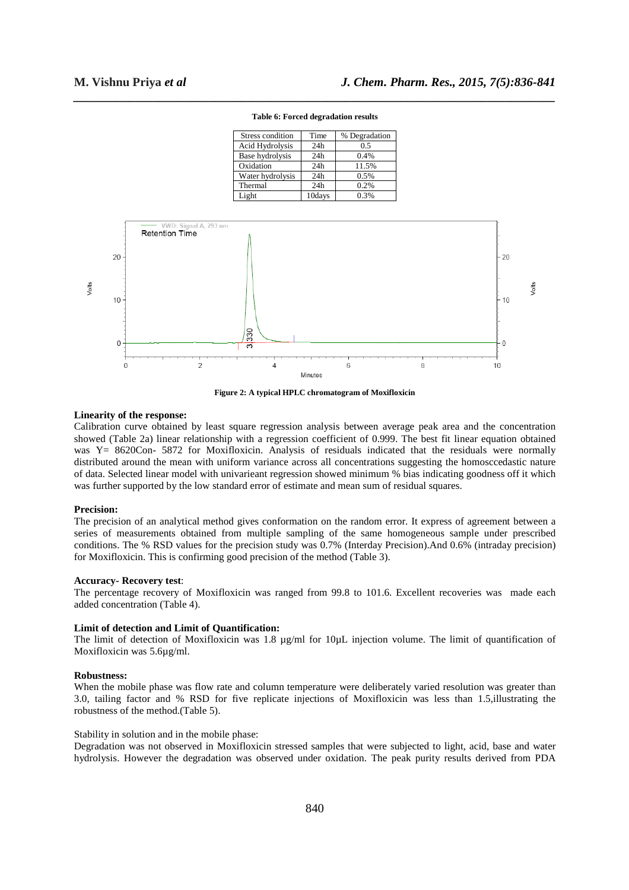|       |                 |                                        | Base hydrolysis                | 24h     | 0.4%  |   |       |       |
|-------|-----------------|----------------------------------------|--------------------------------|---------|-------|---|-------|-------|
|       |                 |                                        | Oxidation                      | 24h     | 11.5% |   |       |       |
|       |                 |                                        | Water hydrolysis               | 24h     | 0.5%  |   |       |       |
|       |                 |                                        | Thermal                        | 24h     | 0.2%  |   |       |       |
|       |                 |                                        | Light                          | 10days  | 0.3%  |   |       |       |
|       |                 |                                        |                                |         |       |   |       |       |
|       |                 |                                        |                                |         |       |   |       |       |
|       |                 | WD: Signal A, 293 nm<br>Retention Time |                                |         |       |   |       |       |
|       | 20 <sub>1</sub> |                                        |                                |         |       |   | 20    |       |
| Volts | 10 <sup>1</sup> |                                        |                                |         |       |   | $-10$ | Volts |
|       | $\Omega$        |                                        | 330<br>$\overline{\mathbf{3}}$ |         |       |   | 0     |       |
|       | 0               | 2                                      | 4                              |         | 6     | 8 | 10    |       |
|       |                 |                                        |                                | Minutes |       |   |       |       |
|       |                 |                                        |                                |         |       |   |       |       |

*\_\_\_\_\_\_\_\_\_\_\_\_\_\_\_\_\_\_\_\_\_\_\_\_\_\_\_\_\_\_\_\_\_\_\_\_\_\_\_\_\_\_\_\_\_\_\_\_\_\_\_\_\_\_\_\_\_\_\_\_\_\_\_\_\_\_\_\_\_\_\_\_\_\_\_\_\_\_* **Table 6: Forced degradation results** 

Stress condition Time % Degradation<br>Acid Hydrolysis 24h 0.5 Acid Hydrolysis 24h 0.5

**Figure 2: A typical HPLC chromatogram of Moxifloxicin** 

# **Linearity of the response:**

Calibration curve obtained by least square regression analysis between average peak area and the concentration showed (Table 2a) linear relationship with a regression coefficient of 0.999. The best fit linear equation obtained was Y= 8620Con- 5872 for Moxifloxicin. Analysis of residuals indicated that the residuals were normally distributed around the mean with uniform variance across all concentrations suggesting the homosccedastic nature of data. Selected linear model with univarieant regression showed minimum % bias indicating goodness off it which was further supported by the low standard error of estimate and mean sum of residual squares.

#### **Precision:**

The precision of an analytical method gives conformation on the random error. It express of agreement between a series of measurements obtained from multiple sampling of the same homogeneous sample under prescribed conditions. The % RSD values for the precision study was 0.7% (Interday Precision).And 0.6% (intraday precision) for Moxifloxicin. This is confirming good precision of the method (Table 3).

#### **Accuracy- Recovery test**:

The percentage recovery of Moxifloxicin was ranged from 99.8 to 101.6. Excellent recoveries was made each added concentration (Table 4).

#### **Limit of detection and Limit of Quantification:**

The limit of detection of Moxifloxicin was 1.8 µg/ml for 10µL injection volume. The limit of quantification of Moxifloxicin was 5.6µg/ml.

#### **Robustness:**

When the mobile phase was flow rate and column temperature were deliberately varied resolution was greater than 3.0, tailing factor and % RSD for five replicate injections of Moxifloxicin was less than 1.5,illustrating the robustness of the method.(Table 5).

# Stability in solution and in the mobile phase:

Degradation was not observed in Moxifloxicin stressed samples that were subjected to light, acid, base and water hydrolysis. However the degradation was observed under oxidation. The peak purity results derived from PDA